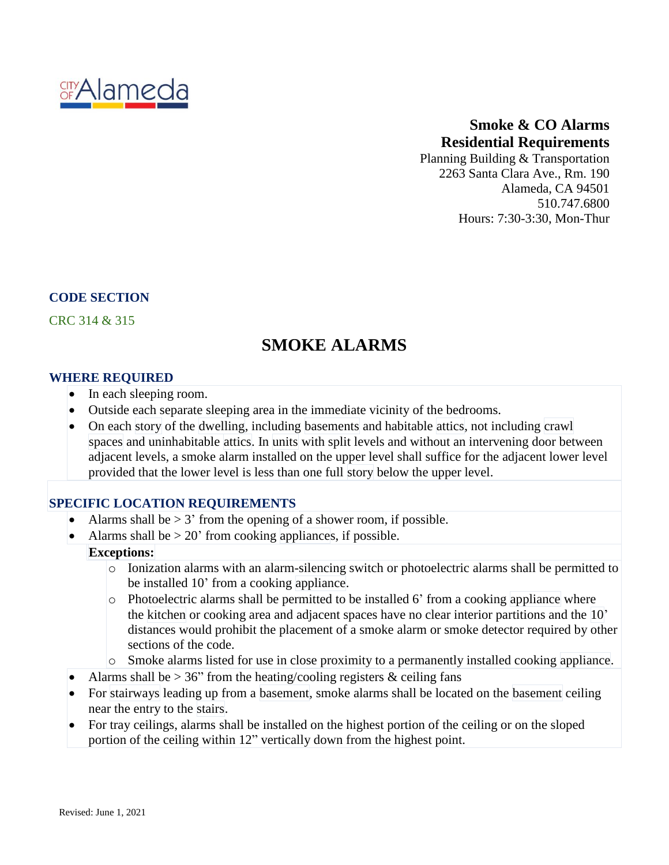

## **Smoke & CO Alarms Residential Requirements**

Planning Building & Transportation 2263 Santa Clara Ave., Rm. 190 Alameda, CA 94501 510.747.6800 Hours: 7:30-3:30, Mon-Thur

## **CODE SECTION**

CRC 314 & 315

# **SMOKE ALARMS**

#### **WHERE REQUIRED**

- In each sleeping room.
- Outside each separate sleeping area in the immediate vicinity of the bedrooms.
- On each [story](https://up.codes/viewer/california/irc-2018/chapter/2/definitions#story) of the [dwelling,](https://up.codes/viewer/california/irc-2018/chapter/2/definitions#dwelling) including [basements](https://up.codes/viewer/california/irc-2018/chapter/2/definitions#basement) and habitable [attics,](https://up.codes/viewer/california/irc-2018/chapter/2/definitions#attic) not including [crawl](https://up.codes/viewer/california/irc-2018/chapter/2/definitions#crawl_space) [spaces](https://up.codes/viewer/california/irc-2018/chapter/2/definitions#crawl_space) and uninhabitable [attics.](https://up.codes/viewer/california/irc-2018/chapter/2/definitions#attic) In [units](https://up.codes/viewer/california/irc-2018/chapter/2/definitions#dwelling_unit) with split levels and without an intervening door between adjacent levels, a smoke alarm installed on the upper level shall suffice for the adjacent lower level provided that the lower level is less than one full [story](https://up.codes/viewer/california/irc-2018/chapter/2/definitions#story) below the upper level.

#### **SPECIFIC LOCATION REQUIREMENTS**

- Alarms shall be  $> 3'$  from the opening of a shower room, if possible.
- Alarms shall be  $> 20'$  from cooking [appliances](https://up.codes/viewer/california/irc-2018/chapter/2/definitions#appliance), if possible.

#### **Exceptions:**

- o Ionization alarms with an alarm-silencing switch or photoelectric alarms shall be permitted to be installed 10' from a cooking [appliance.](https://up.codes/viewer/california/irc-2018/chapter/2/definitions#appliance)
- o Photoelectric alarms shall be permitted to be installed 6' from a cooking [appliance](https://up.codes/viewer/california/irc-2018/chapter/2/definitions#appliance) where the [kitchen](https://up.codes/viewer/california/irc-2018/chapter/2/definitions#kitchen) or cooking area and adjacent spaces have no clear interior partitions and the [10'](https://up.codes/viewer/california/irc-2018/chapter/10/chimneys-and-fireplaces#10) distances would prohibit the placement of a smoke alarm or smoke detector required by other sections of the code.
- o Smoke alarms listed for use in close proximity to a permanently installed cooking [appliance.](https://up.codes/viewer/california/irc-2018/chapter/2/definitions#appliance)
- Alarms shall be  $> 36$ " from the heating/cooling registers & ceiling fans
- For [stairways](https://up.codes/viewer/california/irc-2018/chapter/2/definitions#stairway) leading up from a [basement,](https://up.codes/viewer/california/irc-2018/chapter/2/definitions#basement) smoke alarms shall be located on the [basement](https://up.codes/viewer/california/irc-2018/chapter/2/definitions#basement) ceiling near the entry to the [stairs.](https://up.codes/viewer/california/irc-2018/chapter/2/definitions#stair)
- For tray ceilings, alarms shall be installed on the highest portion of the ceiling or on the sloped portion of the ceiling within 12" vertically down from the highest point.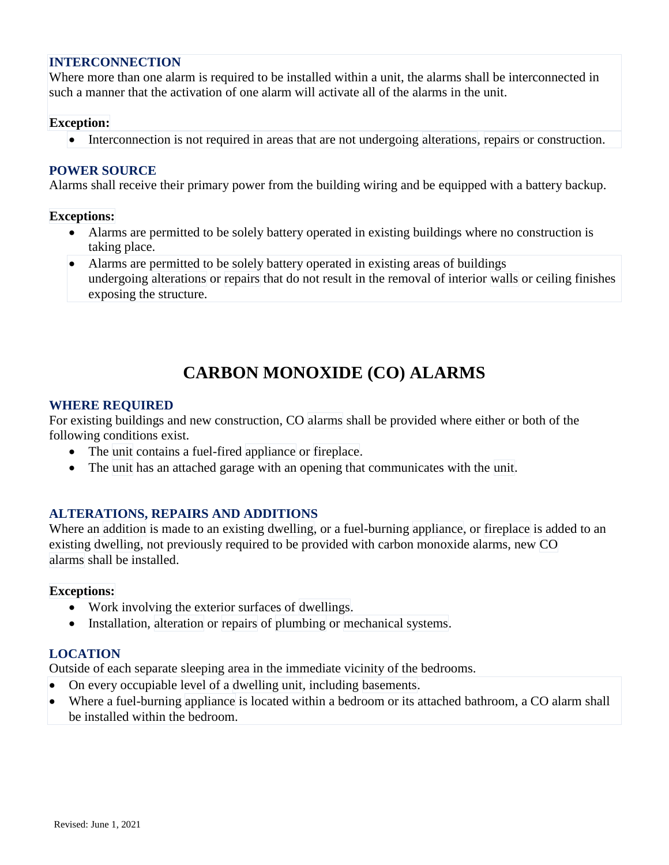## **INTERCONNECTION**

Where more than one alarm is required to be installed within a unit, the alarms shall be interconnected in such a manner that the activation of one alarm will activate all of the alarms in the unit.

#### **Exception:**

• Interconnection is not required in areas that are not undergoing [alterations,](https://up.codes/viewer/california/irc-2018/chapter/2/definitions#alteration) [repairs](https://up.codes/viewer/california/irc-2018/chapter/2/definitions#repair) or construction.

## **POWER SOURCE**

Alarms shall receive their primary power from the building wiring and be equipped with a battery backup.

#### **Exceptions:**

- Alarms are permitted to be solely battery operated in existing buildings where no construction is taking place.
- Alarms are permitted to be solely battery operated in existing areas of buildings undergoing [alterations](https://up.codes/viewer/california/irc-2018/chapter/2/definitions#alteration) or [repairs](https://up.codes/viewer/california/irc-2018/chapter/2/definitions#repair) that do not result in the removal of interior [walls](https://up.codes/viewer/california/irc-2018/chapter/2/definitions#walls) or ceiling finishes exposing the structure.

## **CARBON MONOXIDE (CO) ALARMS**

#### **WHERE REQUIRED**

For existing buildings and new construction, CO [alarms](https://up.codes/viewer/california/irc-2018/chapter/2/definitions#carbon_monoxide_alarm) shall be provided where either or both of the following conditions exist.

- The [unit](https://up.codes/viewer/california/irc-2018/chapter/2/definitions#dwelling_unit) contains a fuel-fired [appliance](https://up.codes/viewer/california/irc-2018/chapter/2/definitions#appliance) or [fireplace.](https://up.codes/viewer/california/irc-2018/chapter/2/definitions#fireplace)
- The [unit](https://up.codes/viewer/california/irc-2018/chapter/2/definitions#dwelling_unit) has an attached garage with an opening that communicates with the [unit.](https://up.codes/viewer/california/irc-2018/chapter/2/definitions#dwelling_unit)

## **ALTERATIONS, REPAIRS AND ADDITIONS**

Where an [addition](https://up.codes/viewer/california/irc-2018/chapter/2/definitions#addition) is made to an existing [dwelling,](https://up.codes/viewer/california/irc-2018/chapter/2/definitions#dwelling) or a fuel-burning [appliance,](https://up.codes/viewer/california/irc-2018/chapter/2/definitions#appliance) or [fireplace](https://up.codes/viewer/california/irc-2018/chapter/2/definitions#fireplace) is added to an existing [dwelling,](https://up.codes/viewer/california/irc-2018/chapter/2/definitions#dwelling) not previously required to be provided with carbon monoxide alarms, new [CO](https://up.codes/viewer/california/irc-2018/chapter/2/definitions#carbon_monoxide_alarm) [alarms](https://up.codes/viewer/california/irc-2018/chapter/2/definitions#carbon_monoxide_alarm) shall be installed.

#### **Exceptions:**

- Work involving the exterior surfaces of [dwellings.](https://up.codes/viewer/california/irc-2018/chapter/2/definitions#dwelling)
- Installation, [alteration](https://up.codes/viewer/california/irc-2018/chapter/2/definitions#alteration) or [repairs](https://up.codes/viewer/california/irc-2018/chapter/2/definitions#repair) of [plumbing](https://up.codes/viewer/california/irc-2018/chapter/2/definitions#plumbing) or [mechanical](https://up.codes/viewer/california/irc-2018/chapter/2/definitions#mechanical_system) systems.

## **LOCATION**

Outside of each separate sleeping area in the immediate vicinity of the bedrooms.

- On every occupiable level of a [dwelling](https://up.codes/viewer/california/irc-2018/chapter/2/definitions#dwelling_unit) unit, including [basements.](https://up.codes/viewer/california/irc-2018/chapter/2/definitions#basement)
- Where a fuel-burning [appliance](https://up.codes/viewer/california/irc-2018/chapter/2/definitions#appliance) is located within a bedroom or its attached bathroom, a CO alarm shall be installed within the bedroom.